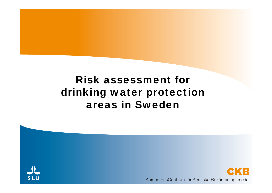### Risk assessment for drinking water protection areas in Sweden

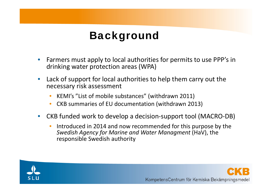## Background

- $\bullet$ • Farmers must apply to local authorities for permits to use PPP's in drinking water protection areas (WPA)
- $\bullet$  Lack of support for local authorities to help them carry out the necessary risk assessment
	- •**•** KEMI's "List of mobile substances" (withdrawn 2011)
	- •CKB summaries of EU documentation (withdrawn 2013)
- $\bullet$ ● CKB funded work to develop a decision-support tool (MACRO-DB)
	- •• Introduced in 2014 and now recommended for this purpose by the *Swedish Agency for Marine and Water Managment* (HaV), the responsible Swedish authority



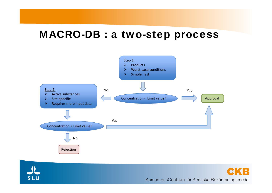#### MACRO-DB : a two-step process



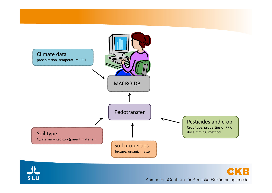

KompetensCentrum för Kemiska Bekämpningsmedel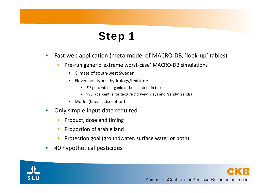# Step 1

- $\bullet$  Fast web application (meta‐model of MACRO‐DB, 'look‐up' tables)
	- • Pre‐run generic 'extreme worst‐case' MACRO‐DB simulations
		- Climate of south‐west Sweden
		- $\bullet$ • Eleven soil types (hydrology/texture):
			- $\bullet$ 5<sup>th</sup>-percentile organic carbon content in topsoil
			- >95<sup>th</sup>-percentile for texture ("clayey" clays and "sandy" sands)
		- •Model (linear adsorption)
- • Only simple input data required
	- •Product, dose and timing
	- •Proportion of arable land
	- •Protection goal (groundwater, surface water or both)
- •• 40 hypothetical pesticides



KompetensCentrum för Kemiska Bekämpningsmedel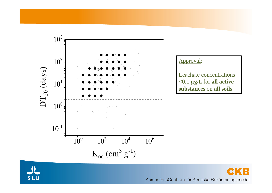



KompetensCentrum för Kemiska Bekämpningsmedel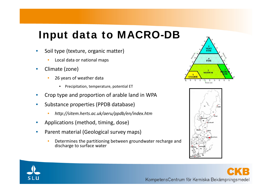# Input data to MACRO-DB

- • Soil type (texture, organic matter)
	- •**•** Local data or national maps
- • Climate (zone)
	- •• 26 years of weather data
		- Precipitation, temperature, potential ET
- •Crop type and proportion of arable land in WPA
- • Substance properties (PPDB database)
	- •*http://sitem.herts.ac.uk/aeru/ppdb/en/index.htm*
- •Applications (method, timing, dose)
- • Parent material (Geological survey maps)
	- • Determines the partitioning between groundwater recharge and discharge to surface water







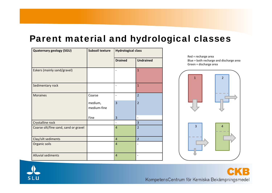#### Parent material and hydrological classes

| <b>Quaternary geology (SGU)</b>       | <b>Subsoil texture</b> | <b>Hydrological class</b> |                          |
|---------------------------------------|------------------------|---------------------------|--------------------------|
|                                       |                        | <b>Drained</b>            | <b>Undrained</b>         |
| Eskers (mainly sand/gravel)           |                        |                           | $\mathbf{1}$             |
| Sedimentary rock                      |                        |                           | $\mathbf{1}$             |
| <b>Moraines</b>                       | Coarse                 | $\qquad \qquad -$         | $\overline{2}$           |
|                                       | medium,<br>medium-fine | 3                         | $\overline{2}$           |
|                                       | Fine                   | 3                         | $\overline{\phantom{0}}$ |
| Crystalline rock                      |                        | $\overline{\phantom{a}}$  | $\overline{3}$           |
| Coarse silt/fine sand, sand or gravel |                        | $\overline{a}$            | $\overline{2}$           |
| Clay/silt sediments                   |                        | 4                         | $\overline{2}$           |
| Organic soils                         |                        | $\overline{4}$            | $\overline{\phantom{0}}$ |
| <b>Alluvial sediments</b>             |                        | $\overline{4}$            |                          |

Red <sup>=</sup> recharge area Blue <sup>=</sup> both recharge and discharge area Green <sup>=</sup> discharge area





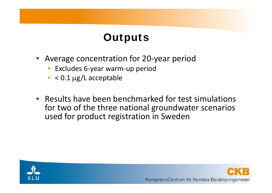## **Outputs**

- Average concentration for 20-year period
	- Excludes 6‐year warm‐up period
	- $\bullet$  < 0.1 µg/L acceptable
- Results have been benchmarked for test simulations for two of the three national groundwater scenarios used for product registration in Sweden



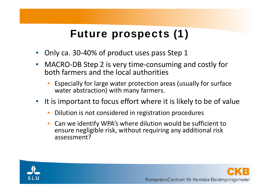# Future prospects (1)

- •• Only ca. 30-40% of product uses pass Step 1
- $\bullet$ • MACRO-DB Step 2 is very time-consuming and costly for both farmers and the local authorities
	- • Especially for large water protection areas (usually for surface water abstraction) with many farmers.
- •• It is important to focus effort where it is likely to be of value
	- •• Dilution is not considered in registration procedures
	- • Can we identify WPA's where dilution would be sufficient to ensure negligible risk, without requiring any additional risk assessment?